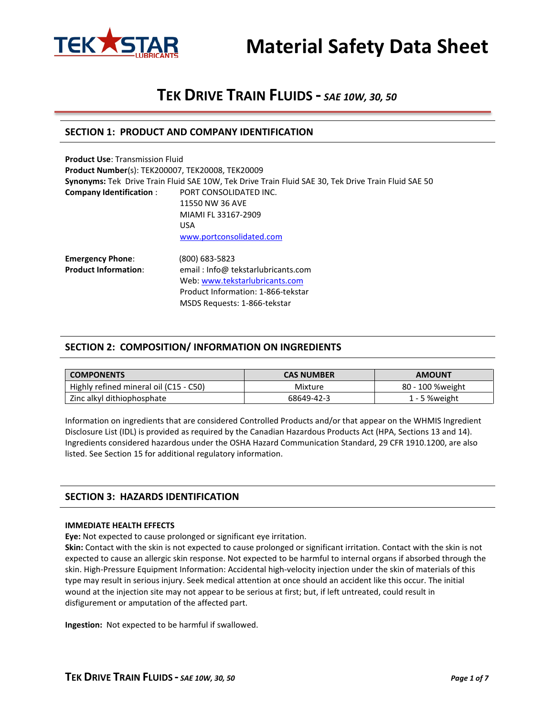



# **SECTION 1: PRODUCT AND COMPANY IDENTIFICATION**

| <b>Product Use: Transmission Fluid</b>                  |                                                                                                     |  |  |  |
|---------------------------------------------------------|-----------------------------------------------------------------------------------------------------|--|--|--|
| <b>Product Number(s): TEK200007, TEK20008, TEK20009</b> |                                                                                                     |  |  |  |
|                                                         | Synonyms: Tek Drive Train Fluid SAE 10W, Tek Drive Train Fluid SAE 30, Tek Drive Train Fluid SAE 50 |  |  |  |
| <b>Company Identification:</b>                          | PORT CONSOLIDATED INC.                                                                              |  |  |  |
|                                                         | 11550 NW 36 AVE                                                                                     |  |  |  |
|                                                         | MIAMI FL 33167-2909                                                                                 |  |  |  |
|                                                         | <b>USA</b>                                                                                          |  |  |  |
|                                                         | www.portconsolidated.com                                                                            |  |  |  |
| <b>Emergency Phone:</b>                                 | (800) 683-5823                                                                                      |  |  |  |
| <b>Product Information:</b>                             | email: Info@ tekstarlubricants.com                                                                  |  |  |  |
|                                                         | Web: www.tekstarlubricants.com                                                                      |  |  |  |

Product Information: 1-866-tekstar MSDS Requests: 1-866-tekstar

### **SECTION 2: COMPOSITION/ INFORMATION ON INGREDIENTS**

| <b>COMPONENTS</b>                      | <b>CAS NUMBER</b> | <b>AMOUNT</b>    |  |
|----------------------------------------|-------------------|------------------|--|
| Highly refined mineral oil (C15 - C50) | Mixture           | 80 - 100 %weight |  |
| Zinc alkyl dithiophosphate             | 68649-42-3        | $1 - 5$ % weight |  |

Information on ingredients that are considered Controlled Products and/or that appear on the WHMIS Ingredient Disclosure List (IDL) is provided as required by the Canadian Hazardous Products Act (HPA, Sections 13 and 14). Ingredients considered hazardous under the OSHA Hazard Communication Standard, 29 CFR 1910.1200, are also listed. See Section 15 for additional regulatory information.

### **SECTION 3: HAZARDS IDENTIFICATION**

#### **IMMEDIATE HEALTH EFFECTS**

**Eye:** Not expected to cause prolonged or significant eye irritation.

**Skin:** Contact with the skin is not expected to cause prolonged or significant irritation. Contact with the skin is not expected to cause an allergic skin response. Not expected to be harmful to internal organs if absorbed through the skin. High-Pressure Equipment Information: Accidental high-velocity injection under the skin of materials of this type may result in serious injury. Seek medical attention at once should an accident like this occur. The initial wound at the injection site may not appear to be serious at first; but, if left untreated, could result in disfigurement or amputation of the affected part.

**Ingestion:** Not expected to be harmful if swallowed.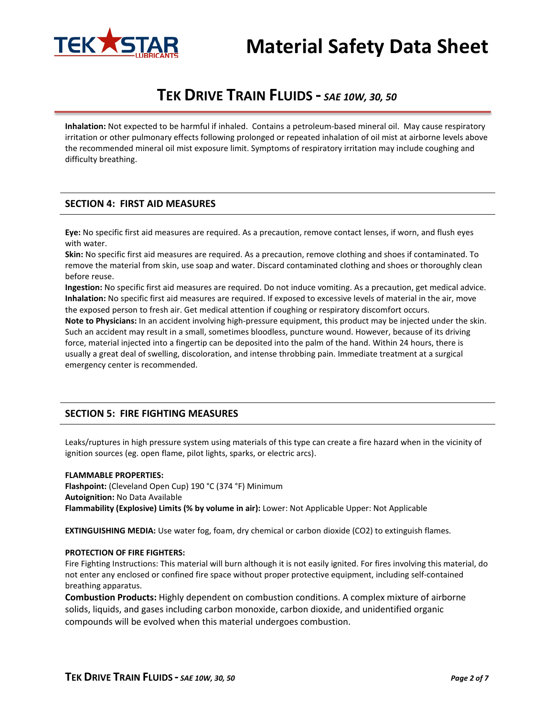

# **Material Safety Data Sheet**

# **TEK DRIVE TRAIN FLUIDS -** *SAE 10W, 30, 50*

**Inhalation:** Not expected to be harmful if inhaled. Contains a petroleum-based mineral oil. May cause respiratory irritation or other pulmonary effects following prolonged or repeated inhalation of oil mist at airborne levels above the recommended mineral oil mist exposure limit. Symptoms of respiratory irritation may include coughing and difficulty breathing.

# **SECTION 4: FIRST AID MEASURES**

**Eye:** No specific first aid measures are required. As a precaution, remove contact lenses, if worn, and flush eyes with water.

**Skin:** No specific first aid measures are required. As a precaution, remove clothing and shoes if contaminated. To remove the material from skin, use soap and water. Discard contaminated clothing and shoes or thoroughly clean before reuse.

**Ingestion:** No specific first aid measures are required. Do not induce vomiting. As a precaution, get medical advice. **Inhalation:** No specific first aid measures are required. If exposed to excessive levels of material in the air, move the exposed person to fresh air. Get medical attention if coughing or respiratory discomfort occurs.

**Note to Physicians:** In an accident involving high-pressure equipment, this product may be injected under the skin. Such an accident may result in a small, sometimes bloodless, puncture wound. However, because of its driving force, material injected into a fingertip can be deposited into the palm of the hand. Within 24 hours, there is usually a great deal of swelling, discoloration, and intense throbbing pain. Immediate treatment at a surgical emergency center is recommended.

# **SECTION 5: FIRE FIGHTING MEASURES**

Leaks/ruptures in high pressure system using materials of this type can create a fire hazard when in the vicinity of ignition sources (eg. open flame, pilot lights, sparks, or electric arcs).

#### **FLAMMABLE PROPERTIES:**

**Flashpoint:** (Cleveland Open Cup) 190 °C (374 °F) Minimum **Autoignition:** No Data Available **Flammability (Explosive) Limits (% by volume in air):** Lower: Not Applicable Upper: Not Applicable

**EXTINGUISHING MEDIA:** Use water fog, foam, dry chemical or carbon dioxide (CO2) to extinguish flames.

#### **PROTECTION OF FIRE FIGHTERS:**

Fire Fighting Instructions: This material will burn although it is not easily ignited. For fires involving this material, do not enter any enclosed or confined fire space without proper protective equipment, including self-contained breathing apparatus.

**Combustion Products:** Highly dependent on combustion conditions. A complex mixture of airborne solids, liquids, and gases including carbon monoxide, carbon dioxide, and unidentified organic compounds will be evolved when this material undergoes combustion.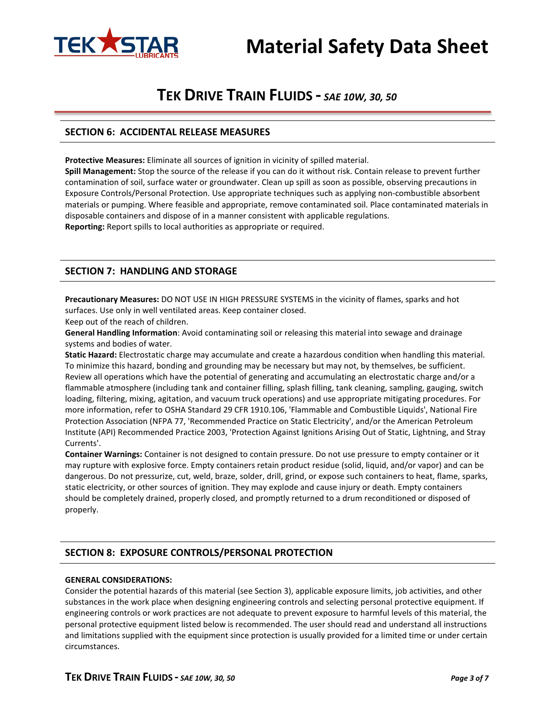



## **SECTION 6: ACCIDENTAL RELEASE MEASURES**

**Protective Measures:** Eliminate all sources of ignition in vicinity of spilled material.

**Spill Management:** Stop the source of the release if you can do it without risk. Contain release to prevent further contamination of soil, surface water or groundwater. Clean up spill as soon as possible, observing precautions in Exposure Controls/Personal Protection. Use appropriate techniques such as applying non-combustible absorbent materials or pumping. Where feasible and appropriate, remove contaminated soil. Place contaminated materials in disposable containers and dispose of in a manner consistent with applicable regulations. **Reporting:** Report spills to local authorities as appropriate or required.

## **SECTION 7: HANDLING AND STORAGE**

**Precautionary Measures:** DO NOT USE IN HIGH PRESSURE SYSTEMS in the vicinity of flames, sparks and hot surfaces. Use only in well ventilated areas. Keep container closed.

Keep out of the reach of children.

**General Handling Information**: Avoid contaminating soil or releasing this material into sewage and drainage systems and bodies of water.

**Static Hazard:** Electrostatic charge may accumulate and create a hazardous condition when handling this material. To minimize this hazard, bonding and grounding may be necessary but may not, by themselves, be sufficient. Review all operations which have the potential of generating and accumulating an electrostatic charge and/or a flammable atmosphere (including tank and container filling, splash filling, tank cleaning, sampling, gauging, switch loading, filtering, mixing, agitation, and vacuum truck operations) and use appropriate mitigating procedures. For more information, refer to OSHA Standard 29 CFR 1910.106, 'Flammable and Combustible Liquids', National Fire Protection Association (NFPA 77, 'Recommended Practice on Static Electricity', and/or the American Petroleum Institute (API) Recommended Practice 2003, 'Protection Against Ignitions Arising Out of Static, Lightning, and Stray Currents'.

**Container Warnings:** Container is not designed to contain pressure. Do not use pressure to empty container or it may rupture with explosive force. Empty containers retain product residue (solid, liquid, and/or vapor) and can be dangerous. Do not pressurize, cut, weld, braze, solder, drill, grind, or expose such containers to heat, flame, sparks, static electricity, or other sources of ignition. They may explode and cause injury or death. Empty containers should be completely drained, properly closed, and promptly returned to a drum reconditioned or disposed of properly.

# **SECTION 8: EXPOSURE CONTROLS/PERSONAL PROTECTION**

#### **GENERAL CONSIDERATIONS:**

Consider the potential hazards of this material (see Section 3), applicable exposure limits, job activities, and other substances in the work place when designing engineering controls and selecting personal protective equipment. If engineering controls or work practices are not adequate to prevent exposure to harmful levels of this material, the personal protective equipment listed below is recommended. The user should read and understand all instructions and limitations supplied with the equipment since protection is usually provided for a limited time or under certain circumstances.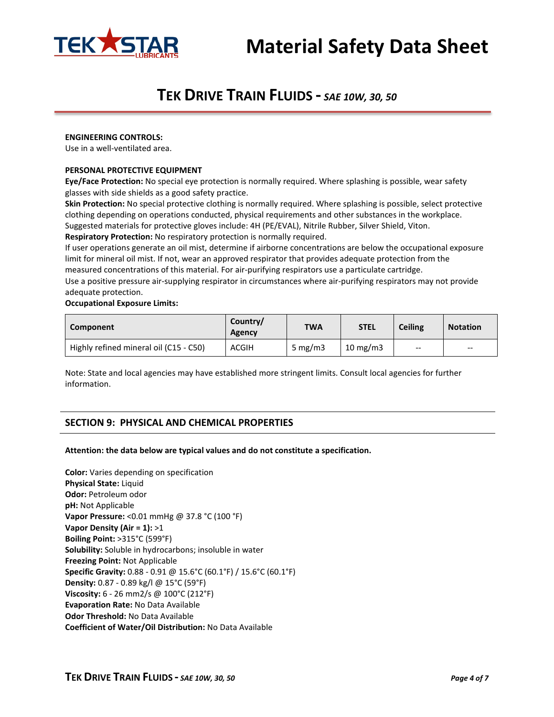

#### **ENGINEERING CONTROLS:**

Use in a well-ventilated area.

#### **PERSONAL PROTECTIVE EQUIPMENT**

**Eye/Face Protection:** No special eye protection is normally required. Where splashing is possible, wear safety glasses with side shields as a good safety practice.

**Skin Protection:** No special protective clothing is normally required. Where splashing is possible, select protective clothing depending on operations conducted, physical requirements and other substances in the workplace. Suggested materials for protective gloves include: 4H (PE/EVAL), Nitrile Rubber, Silver Shield, Viton. **Respiratory Protection:** No respiratory protection is normally required.

If user operations generate an oil mist, determine if airborne concentrations are below the occupational exposure limit for mineral oil mist. If not, wear an approved respirator that provides adequate protection from the measured concentrations of this material. For air-purifying respirators use a particulate cartridge.

Use a positive pressure air-supplying respirator in circumstances where air-purifying respirators may not provide adequate protection.

#### **Occupational Exposure Limits:**

| Component                              | Country/<br>Agency | <b>TWA</b> | <b>STEL</b>       | <b>Ceiling</b> | <b>Notation</b>                       |
|----------------------------------------|--------------------|------------|-------------------|----------------|---------------------------------------|
| Highly refined mineral oil (C15 - C50) | <b>ACGIH</b>       | 5 mg/m $3$ | $10 \text{ mg/m}$ | $- -$          | $\hspace{0.05cm}$ – $\hspace{0.05cm}$ |

Note: State and local agencies may have established more stringent limits. Consult local agencies for further information.

# **SECTION 9: PHYSICAL AND CHEMICAL PROPERTIES**

#### **Attention: the data below are typical values and do not constitute a specification.**

**Color:** Varies depending on specification **Physical State:** Liquid **Odor:** Petroleum odor **pH:** Not Applicable **Vapor Pressure:** <0.01 mmHg @ 37.8 °C (100 °F) **Vapor Density (Air = 1):** >1 **Boiling Point:** >315°C (599°F) **Solubility:** Soluble in hydrocarbons; insoluble in water **Freezing Point:** Not Applicable **Specific Gravity:** 0.88 - 0.91 @ 15.6°C (60.1°F) / 15.6°C (60.1°F) **Density:** 0.87 - 0.89 kg/l @ 15°C (59°F) **Viscosity:** 6 - 26 mm2/s @ 100°C (212°F) **Evaporation Rate:** No Data Available **Odor Threshold:** No Data Available **Coefficient of Water/Oil Distribution:** No Data Available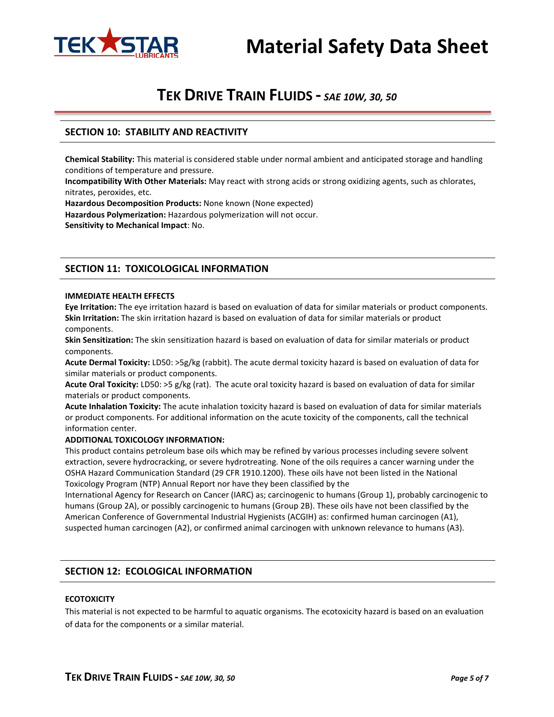



# **SECTION 10: STABILITY AND REACTIVITY**

**Chemical Stability:** This material is considered stable under normal ambient and anticipated storage and handling conditions of temperature and pressure.

**Incompatibility With Other Materials:** May react with strong acids or strong oxidizing agents, such as chlorates, nitrates, peroxides, etc.

**Hazardous Decomposition Products:** None known (None expected) **Hazardous Polymerization:** Hazardous polymerization will not occur. **Sensitivity to Mechanical Impact**: No.

# **SECTION 11: TOXICOLOGICAL INFORMATION**

#### **IMMEDIATE HEALTH EFFECTS**

**Eye Irritation:** The eye irritation hazard is based on evaluation of data for similar materials or product components. **Skin Irritation:** The skin irritation hazard is based on evaluation of data for similar materials or product components.

**Skin Sensitization:** The skin sensitization hazard is based on evaluation of data for similar materials or product components.

**Acute Dermal Toxicity:** LD50: >5g/kg (rabbit). The acute dermal toxicity hazard is based on evaluation of data for similar materials or product components.

**Acute Oral Toxicity:** LD50: >5 g/kg (rat). The acute oral toxicity hazard is based on evaluation of data for similar materials or product components.

**Acute Inhalation Toxicity:** The acute inhalation toxicity hazard is based on evaluation of data for similar materials or product components. For additional information on the acute toxicity of the components, call the technical information center.

#### **ADDITIONAL TOXICOLOGY INFORMATION:**

This product contains petroleum base oils which may be refined by various processes including severe solvent extraction, severe hydrocracking, or severe hydrotreating. None of the oils requires a cancer warning under the OSHA Hazard Communication Standard (29 CFR 1910.1200). These oils have not been listed in the National Toxicology Program (NTP) Annual Report nor have they been classified by the

International Agency for Research on Cancer (IARC) as; carcinogenic to humans (Group 1), probably carcinogenic to humans (Group 2A), or possibly carcinogenic to humans (Group 2B). These oils have not been classified by the American Conference of Governmental Industrial Hygienists (ACGIH) as: confirmed human carcinogen (A1), suspected human carcinogen (A2), or confirmed animal carcinogen with unknown relevance to humans (A3).

### **SECTION 12: ECOLOGICAL INFORMATION**

#### **ECOTOXICITY**

This material is not expected to be harmful to aquatic organisms. The ecotoxicity hazard is based on an evaluation of data for the components or a similar material.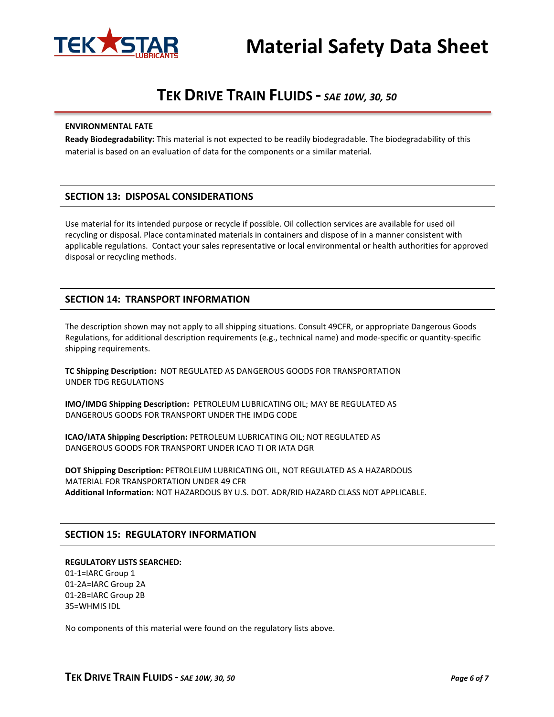

# **Material Safety Data Sheet**

# **TEK DRIVE TRAIN FLUIDS -** *SAE 10W, 30, 50*

#### **ENVIRONMENTAL FATE**

**Ready Biodegradability:** This material is not expected to be readily biodegradable. The biodegradability of this material is based on an evaluation of data for the components or a similar material.

# **SECTION 13: DISPOSAL CONSIDERATIONS**

Use material for its intended purpose or recycle if possible. Oil collection services are available for used oil recycling or disposal. Place contaminated materials in containers and dispose of in a manner consistent with applicable regulations. Contact your sales representative or local environmental or health authorities for approved disposal or recycling methods.

# **SECTION 14: TRANSPORT INFORMATION**

The description shown may not apply to all shipping situations. Consult 49CFR, or appropriate Dangerous Goods Regulations, for additional description requirements (e.g., technical name) and mode-specific or quantity-specific shipping requirements.

**TC Shipping Description:** NOT REGULATED AS DANGEROUS GOODS FOR TRANSPORTATION UNDER TDG REGULATIONS

**IMO/IMDG Shipping Description:** PETROLEUM LUBRICATING OIL; MAY BE REGULATED AS DANGEROUS GOODS FOR TRANSPORT UNDER THE IMDG CODE

**ICAO/IATA Shipping Description:** PETROLEUM LUBRICATING OIL; NOT REGULATED AS DANGEROUS GOODS FOR TRANSPORT UNDER ICAO TI OR IATA DGR

**DOT Shipping Description:** PETROLEUM LUBRICATING OIL, NOT REGULATED AS A HAZARDOUS MATERIAL FOR TRANSPORTATION UNDER 49 CFR **Additional Information:** NOT HAZARDOUS BY U.S. DOT. ADR/RID HAZARD CLASS NOT APPLICABLE.

### **SECTION 15: REGULATORY INFORMATION**

#### **REGULATORY LISTS SEARCHED:**

01-1=IARC Group 1 01-2A=IARC Group 2A 01-2B=IARC Group 2B 35=WHMIS IDL

No components of this material were found on the regulatory lists above.